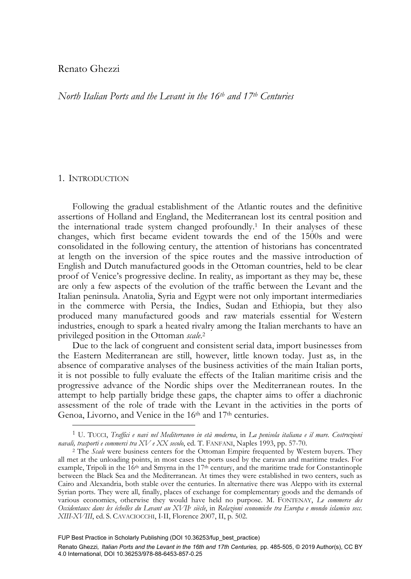## Renato Ghezzi

*North Italian Ports and the Levant in the 16th and 17th Centuries* 

## 1. INTRODUCTION

-

Following the gradual establishment of the Atlantic routes and the definitive assertions of Holland and England, the Mediterranean lost its central position and the international trade system changed profoundly.1 In their analyses of these changes, which first became evident towards the end of the 1500s and were consolidated in the following century, the attention of historians has concentrated at length on the inversion of the spice routes and the massive introduction of English and Dutch manufactured goods in the Ottoman countries, held to be clear proof of Venice's progressive decline. In reality, as important as they may be, these are only a few aspects of the evolution of the traffic between the Levant and the Italian peninsula. Anatolia, Syria and Egypt were not only important intermediaries in the commerce with Persia, the Indies, Sudan and Ethiopia, but they also produced many manufactured goods and raw materials essential for Western industries, enough to spark a heated rivalry among the Italian merchants to have an privileged position in the Ottoman *scale*. 2

Due to the lack of congruent and consistent serial data, import businesses from the Eastern Mediterranean are still, however, little known today. Just as, in the absence of comparative analyses of the business activities of the main Italian ports, it is not possible to fully evaluate the effects of the Italian maritime crisis and the progressive advance of the Nordic ships over the Mediterranean routes. In the attempt to help partially bridge these gaps, the chapter aims to offer a diachronic assessment of the role of trade with the Levant in the activities in the ports of Genoa, Livorno, and Venice in the 16<sup>th</sup> and 17<sup>th</sup> centuries.

<sup>1</sup> U. TUCCI, *Traffici e navi nel Mediterraneo in età moderna*, in *La penisola italiana e il mare. Costruzioni navali, trasporti e commerci tra XV e XX secolo*, ed. T. FANFANI, Naples 1993, pp. 57-70. 2 The *Scale* were business centers for the Ottoman Empire frequented by Western buyers. They

all met at the unloading points, in most cases the ports used by the caravan and maritime trades. For example, Tripoli in the 16<sup>th</sup> and Smyrna in the 17<sup>th</sup> century, and the maritime trade for Constantinople between the Black Sea and the Mediterranean. At times they were established in two centers, such as Cairo and Alexandria, both stable over the centuries. In alternative there was Aleppo with its external Syrian ports. They were all, finally, places of exchange for complementary goods and the demands of various economies, otherwise they would have held no purpose. M. FONTENAY, *Le commerce des*  Occidentaux dans les échelles du Levant au XVII<sup>e</sup> siècle, in Relazioni economiche tra Europa e mondo islamico secc. *XIII-XVIII*, ed. S. CAVACIOCCHI, I-II, Florence 2007, II, p. 502.

FUP Best Practice in Scholarly Publishing (DOI [10.36253/fup\\_best\\_practice\)](https://doi.org/10.36253/fup_best_practice)

Renato Ghezzi*, Italian Ports and the Levant in the 16th and 17th Centuries,* pp. 485-505, © 2019 Author(s), [CC BY](http://creativecommons.org/licenses/by/4.0/legalcode) [4.0 International](http://creativecommons.org/licenses/by/4.0/legalcode), DOI [10.36253/978-88-6453-857-0.25](https://doi.org/10.36253/978-88-6453-857-0.25)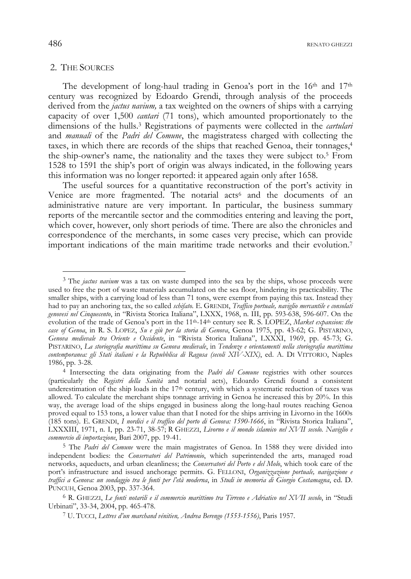$486$  renato ghezzi

### 2. THE SOURCES

The development of long-haul trading in Genoa's port in the  $16<sup>th</sup>$  and  $17<sup>th</sup>$ century was recognized by Edoardo Grendi, through analysis of the proceeds derived from the *jactus navium,* a tax weighted on the owners of ships with a carrying capacity of over 1,500 *cantari* (71 tons), which amounted proportionately to the dimensions of the hulls.3 Registrations of payments were collected in the *cartulari* and *manuali* of the *Padri del Comune*, the magistratess charged with collecting the taxes, in which there are records of the ships that reached Genoa, their tonnages,4 the ship-owner's name, the nationality and the taxes they were subject to.5 From 1528 to 1591 the ship's port of origin was always indicated, in the following years this information was no longer reported: it appeared again only after 1658.

The useful sources for a quantitative reconstruction of the port's activity in Venice are more fragmented. The notarial acts<sup>6</sup> and the documents of an administrative nature are very important. In particular, the business summary reports of the mercantile sector and the commodities entering and leaving the port, which cover, however, only short periods of time. There are also the chronicles and correspondence of the merchants, in some cases very precise, which can provide important indications of the main maritime trade networks and their evolution.7

<sup>3</sup> The *jactus navium* was a tax on waste dumped into the sea by the ships, whose proceeds were used to free the port of waste materials accumulated on the sea floor, hindering its practicability. The smaller ships, with a carrying load of less than 71 tons, were exempt from paying this tax. Instead they had to pay an anchoring tax, the so called *schifato.* E. GRENDI, *Traffico portuale, naviglio mercantile e consolati genovesi nel Cinquecento*, in "Rivista Storica Italiana", LXXX, 1968, n. III, pp. 593-638, 596-607. On the evolution of the trade of Genoa's port in the 11<sup>th-14th</sup> century see R. S. LOPEZ, *Market expansion: the case of Genoa*, in R. S. LOPEZ, *Su e giù per la storia di Genova*, Genoa 1975, pp. 43-62; G. PISTARINO, *Genova medievale tra Oriente e Occidente*, in "Rivista Storica Italiana", LXXXI, 1969, pp. 45-73; G. PISTARINO, *La storiografia marittima su Genova medievale*, in *Tendenze e orientamenti nella storiografia marittima contemporanea: gli Stati italiani e la Repubblica di Ragusa (secoli XIV-XIX)*, ed. A. DI VITTORIO, Naples 1986, pp. 3-28.

<sup>4</sup> Intersecting the data originating from the *Padri del Comune* registries with other sources (particularly the *Registri della Sanità* and notarial acts), Edoardo Grendi found a consistent underestimation of the ship loads in the  $17<sup>th</sup>$  century, with which a systematic reduction of taxes was allowed. To calculate the merchant ships tonnage arriving in Genoa he increased this by 20%. In this way, the average load of the ships engaged in business along the long-haul routes reaching Genoa proved equal to 153 tons, a lower value than that I noted for the ships arriving in Livorno in the 1600s (185 tons). E. GRENDI, *I nordici e il traffico del porto di Genova: 1590-1666*, in "Rivista Storica Italiana", LXXXIII, 1971, n. I, pp. 23-71, 38-57; R GHEZZI, *Livorno e il mondo islamico nel XVII secolo. Naviglio e commercio di importazione*, Bari 2007, pp. 19-41.

<sup>5</sup> The *Padri del Comune* were the main magistrates of Genoa. In 1588 they were divided into independent bodies: the *Conservatori del Patrimonio*, which superintended the arts, managed road networks, aqueducts, and urban cleanliness; the *Conservatori del Porto e del Molo*, which took care of the port's infrastructure and issued anchorage permits. G. FELLONI, *Organizzazione portuale, navigazione e traffici a Genova: un sondaggio tra le fonti per l'età moderna*, in *Studi in memoria di Giorgio Costamagna*, ed. D. PUNCUH, Genoa 2003, pp. 337-364.

<sup>&</sup>lt;sup>6</sup> R. GHEZZI, *Le fonti notarili e il commercio marittimo tra Tirreno e Adriatico nel XVII secolo*, in "Studi Urbinati", 33-34, 2004, pp. 465-478.

<sup>&</sup>lt;sup>7</sup> U. TUCCI, *Lettres d'un marchand vénitien, Andrea Berengo (1553-1556)*, Paris 1957.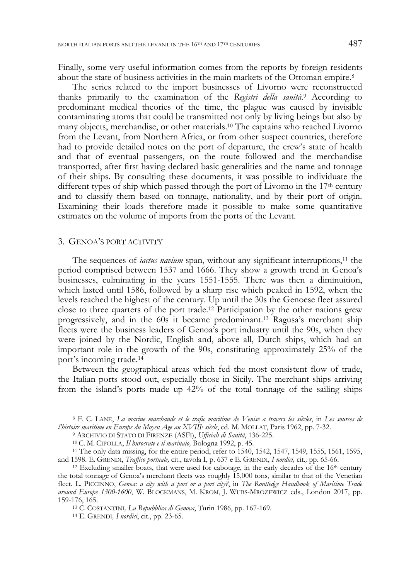Finally, some very useful information comes from the reports by foreign residents about the state of business activities in the main markets of the Ottoman empire.<sup>8</sup>

The series related to the import businesses of Livorno were reconstructed thanks primarily to the examination of the *Registri della sanità*. 9 According to predominant medical theories of the time, the plague was caused by invisible contaminating atoms that could be transmitted not only by living beings but also by many objects, merchandise, or other materials.10 The captains who reached Livorno from the Levant, from Northern Africa, or from other suspect countries, therefore had to provide detailed notes on the port of departure, the crew's state of health and that of eventual passengers, on the route followed and the merchandise transported, after first having declared basic generalities and the name and tonnage of their ships. By consulting these documents, it was possible to individuate the different types of ship which passed through the port of Livorno in the  $17<sup>th</sup>$  century and to classify them based on tonnage, nationality, and by their port of origin. Examining their loads therefore made it possible to make some quantitative estimates on the volume of imports from the ports of the Levant.

#### 3. GENOA'S PORT ACTIVITY

-

The sequences of *iactus navium* span, without any significant interruptions,<sup>11</sup> the period comprised between 1537 and 1666. They show a growth trend in Genoa's businesses, culminating in the years 1551-1555. There was then a diminuition, which lasted until 1586, followed by a sharp rise which peaked in 1592, when the levels reached the highest of the century. Up until the 30s the Genoese fleet assured close to three quarters of the port trade.12 Participation by the other nations grew progressively, and in the 60s it became predominant.13 Ragusa's merchant ship fleets were the business leaders of Genoa's port industry until the 90s, when they were joined by the Nordic, English and, above all, Dutch ships, which had an important role in the growth of the 90s, constituting approximately 25% of the port's incoming trade.14

Between the geographical areas which fed the most consistent flow of trade, the Italian ports stood out, especially those in Sicily. The merchant ships arriving from the island's ports made up 42% of the total tonnage of the sailing ships

<sup>8</sup> F. C. LANE, *La marine marchande et le trafic maritime de Venise a travers les siècles*, in *Les sources de l'histoire maritime en Europe du Moyen Age au XVIII<sup>e</sup> siècle, ed. M. MOLLAT, Paris 1962, pp. 7-32.*<br><sup>9</sup> ARCHIVIO DI STATO DI FIRENZE (ASFI), Ufficiali di Sanità, 136-225.

<sup>&</sup>lt;sup>10</sup> C. M. CIPOLLA, *Il burocrate e il marinaio*, Bologna 1992, p. 45.<br><sup>11</sup> The only data missing, for the entire period, refer to 1540, 1542, 1547, 1549, 1555, 1561, 1595, and 1598. E. GRENDI, *Traffico portuale*, cit., t

<sup>&</sup>lt;sup>12</sup> Excluding smaller boats, that were used for cabotage, in the early decades of the 16<sup>th</sup> century the total tonnage of Genoa's merchant fleets was roughly 15,000 tons, similar to that of the Venetian fleet. L. PICCINNO, *Genoa: a city with a port or a port city?*, in *The Routledge Handbook of Maritime Trade around Europe 1300-1600*, W. BLOCKMANS, M. KROM, J. WUBS-MROZEWICZ eds., London 2017, pp. 159-176, 165. 13 C. COSTANTINI*, La Repubblica di Genova*, Turin 1986, pp. 167-169. 14 E. GRENDI*, I nordici*, cit., pp. 23-65.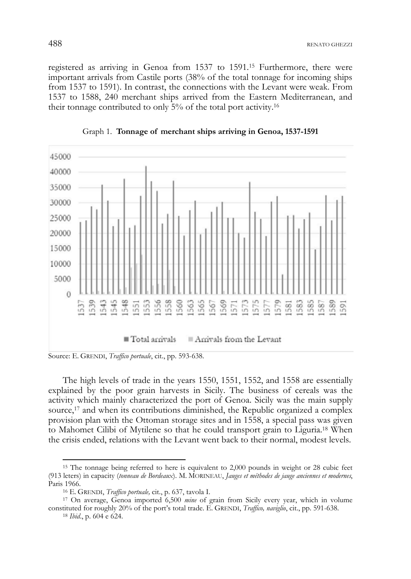registered as arriving in Genoa from 1537 to 1591.15 Furthermore, there were important arrivals from Castile ports (38% of the total tonnage for incoming ships from 1537 to 1591). In contrast, the connections with the Levant were weak. From 1537 to 1588, 240 merchant ships arrived from the Eastern Mediterranean, and their tonnage contributed to only 5% of the total port activity.16



Graph 1. **Tonnage of merchant ships arriving in Genoa, 1537-1591** 

Source: E. GRENDI, *Traffico portuale*, cit., pp. 593-638.

The high levels of trade in the years 1550, 1551, 1552, and 1558 are essentially explained by the poor grain harvests in Sicily. The business of cereals was the activity which mainly characterized the port of Genoa. Sicily was the main supply source,<sup>17</sup> and when its contributions diminished, the Republic organized a complex provision plan with the Ottoman storage sites and in 1558, a special pass was given to Mahomet Cilibi of Mytilene so that he could transport grain to Liguria.18 When the crisis ended, relations with the Levant went back to their normal, modest levels.

constituted for roughly 20% of the port's total trade. E. GRENDI, *Traffico, naviglio*, cit., pp. 591-638. 18 *Ibid*., p. 604 e 624.

<sup>15</sup> The tonnage being referred to here is equivalent to 2,000 pounds in weight or 28 cubic feet (913 leters) in capacity (*tonneau de Bordeaux*). M. MORINEAU, *Jauges et méthodes de jauge anciennes et modernes*, Paris 1966.<br><sup>16</sup> E. GRENDI, *Traffico portuale,* cit., p. 637, tavola I.<br><sup>17</sup> On average, Genoa imported 6,500 *mine* of grain from Sicily every year, which in volume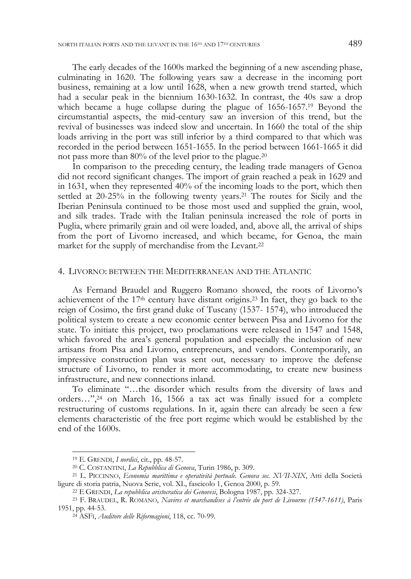The early decades of the 1600s marked the beginning of a new ascending phase, culminating in 1620. The following years saw a decrease in the incoming port business, remaining at a low until 1628, when a new growth trend started, which had a secular peak in the biennium 1630-1632. In contrast, the 40s saw a drop which became a huge collapse during the plague of 1656-1657.<sup>19</sup> Beyond the circumstantial aspects, the mid-century saw an inversion of this trend, but the revival of businesses was indeed slow and uncertain. In 1660 the total of the ship loads arriving in the port was still inferior by a third compared to that which was recorded in the period between 1651-1655. In the period between 1661-1665 it did not pass more than 80% of the level prior to the plague.20

In comparison to the preceding century, the leading trade managers of Genoa did not record significant changes. The import of grain reached a peak in 1629 and in 1631, when they represented 40% of the incoming loads to the port, which then settled at 20-25% in the following twenty years.21 The routes for Sicily and the Iberian Peninsula continued to be those most used and supplied the grain, wool, and silk trades. Trade with the Italian peninsula increased the role of ports in Puglia, where primarily grain and oil were loaded, and, above all, the arrival of ships from the port of Livorno increased, and which became, for Genoa, the main market for the supply of merchandise from the Levant.22

## 4. LIVORNO: BETWEEN THE MEDITERRANEAN AND THE ATLANTIC

As Fernand Braudel and Ruggero Romano showed, the roots of Livorno's achievement of the 17th century have distant origins.23 In fact, they go back to the reign of Cosimo, the first grand duke of Tuscany (1537- 1574), who introduced the political system to create a new economic center between Pisa and Livorno for the state. To initiate this project, two proclamations were released in 1547 and 1548, which favored the area's general population and especially the inclusion of new artisans from Pisa and Livorno, entrepreneurs, and vendors. Contemporarily, an impressive construction plan was sent out, necessary to improve the defense structure of Livorno, to render it more accommodating, to create new business infrastructure, and new connections inland.

To eliminate "…the disorder which results from the diversity of laws and orders…",24 on March 16, 1566 a tax act was finally issued for a complete restructuring of customs regulations. In it, again there can already be seen a few elements characteristic of the free port regime which would be established by the end of the 1600s.

j

<sup>&</sup>lt;sup>19</sup> E. GRENDI, *I nordici*, cit., pp. 48-57.<br><sup>20</sup> C. COSTANTINI, *La Repubblica di Genova*, Turin 1986, p. 309.<br><sup>21</sup> L. PICCINNO, *Economia marittima e operatività portuale. Genova sec. XVII-XIX*, Atti della Società ligure di storia patria, Nuova Serie, vol. XL, fascicolo 1, Genoa 2000, p. 59.<br><sup>22</sup> E GRENDI, *La repubblica aristocratica dei Genovesi*, Bologna 1987, pp. 324-327.<br><sup>23</sup> F. BRAUDEL, R. ROMANO, *Navires et marchandises à l'* 

<sup>1951,</sup> pp. 44-53. 24 ASFI, *Auditore delle Riformagioni*, 118, cc. 70-99.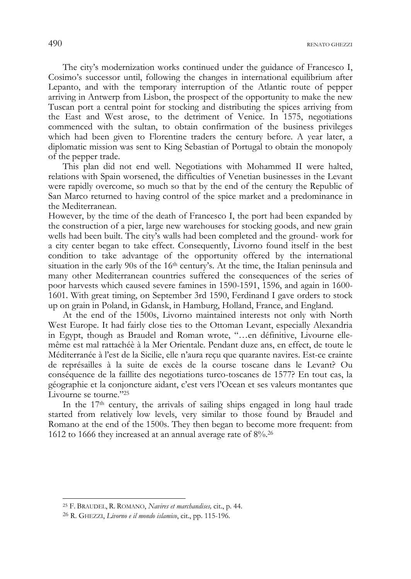$490$  renation of the  $\alpha$  renation of the  $\alpha$ 

The city's modernization works continued under the guidance of Francesco I, Cosimo's successor until, following the changes in international equilibrium after Lepanto, and with the temporary interruption of the Atlantic route of pepper arriving in Antwerp from Lisbon, the prospect of the opportunity to make the new Tuscan port a central point for stocking and distributing the spices arriving from the East and West arose, to the detriment of Venice. In 1575, negotiations commenced with the sultan, to obtain confirmation of the business privileges which had been given to Florentine traders the century before. A year later, a diplomatic mission was sent to King Sebastian of Portugal to obtain the monopoly of the pepper trade.

This plan did not end well. Negotiations with Mohammed II were halted, relations with Spain worsened, the difficulties of Venetian businesses in the Levant were rapidly overcome, so much so that by the end of the century the Republic of San Marco returned to having control of the spice market and a predominance in the Mediterranean.

However, by the time of the death of Francesco I, the port had been expanded by the construction of a pier, large new warehouses for stocking goods, and new grain wells had been built. The city's walls had been completed and the ground- work for a city center began to take effect. Consequently, Livorno found itself in the best condition to take advantage of the opportunity offered by the international situation in the early 90s of the 16<sup>th</sup> century's. At the time, the Italian peninsula and many other Mediterranean countries suffered the consequences of the series of poor harvests which caused severe famines in 1590-1591, 1596, and again in 1600- 1601. With great timing, on September 3rd 1590, Ferdinand I gave orders to stock up on grain in Poland, in Gdansk, in Hamburg, Holland, France, and England.

At the end of the 1500s, Livorno maintained interests not only with North West Europe. It had fairly close ties to the Ottoman Levant, especially Alexandria in Egypt, though as Braudel and Roman wrote, "…en définitive, Livourne ellemême est mal rattachéè à la Mer Orientale. Pendant duze ans, en effect, de toute le Méditerranée à l'est de la Sicilie, elle n'aura reçu que quarante navires. Est-ce crainte de représailles à la suite de excès de la course toscane dans le Levant? Ou conséquence de la faillite des negotiations turco-toscanes de 1577? En tout cas, la géographie et la conjoncture aidant, c'est vers l'Ocean et ses valeurs montantes que Livourne se tourne."25

In the 17th century, the arrivals of sailing ships engaged in long haul trade started from relatively low levels, very similar to those found by Braudel and Romano at the end of the 1500s. They then began to become more frequent: from 1612 to 1666 they increased at an annual average rate of 8%.26

<sup>25</sup> F. BRAUDEL, R. ROMANO, *Navires et marchandises,* cit., p. 44.

<sup>26</sup> R. GHEZZI, *Livorno e il mondo islamico*, cit., pp. 115-196.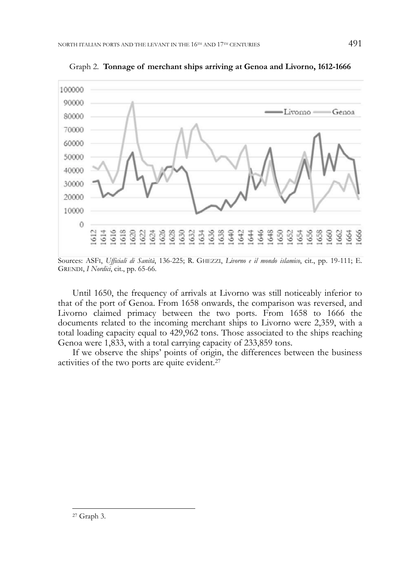

Graph 2. **Tonnage of merchant ships arriving at Genoa and Livorno, 1612-1666** 

Sources: ASFI, *Ufficiali di Sanità*, 136-225; R. GHEZZI, *Livorno e il mondo islamico*, cit., pp. 19-111; E. GRENDI, *I Nordici*, cit., pp. 65-66.

Until 1650, the frequency of arrivals at Livorno was still noticeably inferior to that of the port of Genoa. From 1658 onwards, the comparison was reversed, and Livorno claimed primacy between the two ports. From 1658 to 1666 the documents related to the incoming merchant ships to Livorno were 2,359, with a total loading capacity equal to 429,962 tons. Those associated to the ships reaching Genoa were 1,833, with a total carrying capacity of 233,859 tons.

If we observe the ships' points of origin, the differences between the business activities of the two ports are quite evident.27

<sup>27</sup> Graph 3.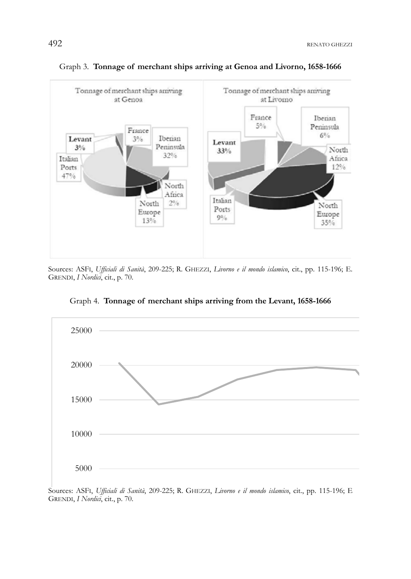

#### Graph 3. **Tonnage of merchant ships arriving at Genoa and Livorno, 1658-1666**

Sources: ASFI, *Ufficiali di Sanità*, 209-225; R. GHEZZI, *Livorno e il mondo islamico*, cit., pp. 115-196; E. GRENDI, *I Nordici*, cit., p. 70.



Graph 4. **Tonnage of merchant ships arriving from the Levant, 1658-1666** 

Sources: ASFI, *Ufficiali di Sanità*, 209-225; R. GHEZZI, *Livorno e il mondo islamico*, cit., pp. 115-196; E GRENDI, *I Nordici*, cit., p. 70.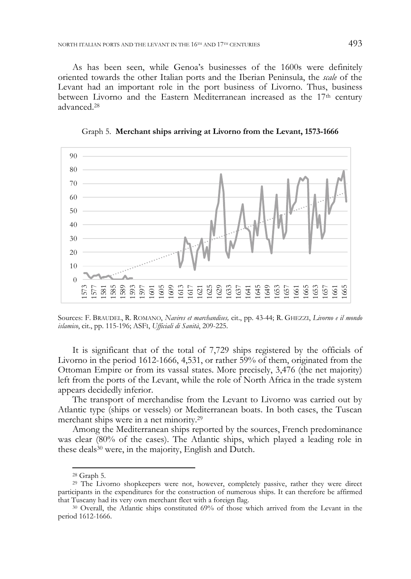As has been seen, while Genoa's businesses of the 1600s were definitely oriented towards the other Italian ports and the Iberian Peninsula, the *scale* of the Levant had an important role in the port business of Livorno. Thus, business between Livorno and the Eastern Mediterranean increased as the  $17<sup>th</sup>$  century advanced.28

Graph 5. **Merchant ships arriving at Livorno from the Levant, 1573-1666** 



Sources: F. BRAUDEL, R. ROMANO, *Navires et marchandises,* cit., pp. 43-44; R. GHEZZI, *Livorno e il mondo islamico*, cit., pp. 115-196; ASFI, *Ufficiali di Sanità*, 209-225.

It is significant that of the total of 7,729 ships registered by the officials of Livorno in the period 1612-1666, 4,531, or rather 59% of them, originated from the Ottoman Empire or from its vassal states. More precisely, 3,476 (the net majority) left from the ports of the Levant, while the role of North Africa in the trade system appears decidedly inferior.

The transport of merchandise from the Levant to Livorno was carried out by Atlantic type (ships or vessels) or Mediterranean boats. In both cases, the Tuscan merchant ships were in a net minority.29

Among the Mediterranean ships reported by the sources, French predominance was clear (80% of the cases). The Atlantic ships, which played a leading role in these deals30 were, in the majority, English and Dutch.

<sup>28</sup> Graph 5.

<sup>29</sup> The Livorno shopkeepers were not, however, completely passive, rather they were direct participants in the expenditures for the construction of numerous ships. It can therefore be affirmed that Tuscany had its very own merchant fleet with a foreign flag.<br><sup>30</sup> Overall, the Atlantic ships constituted 69% of those which arrived from the Levant in the

period 1612-1666.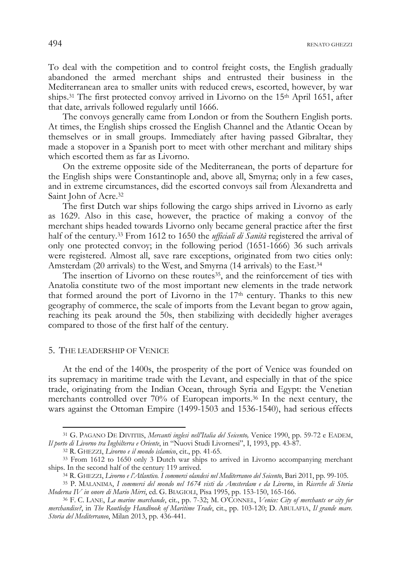494 RENATO GHEZZI

To deal with the competition and to control freight costs, the English gradually abandoned the armed merchant ships and entrusted their business in the Mediterranean area to smaller units with reduced crews, escorted, however, by war ships.<sup>31</sup> The first protected convoy arrived in Livorno on the  $15<sup>th</sup>$  April 1651, after that date, arrivals followed regularly until 1666.

The convoys generally came from London or from the Southern English ports. At times, the English ships crossed the English Channel and the Atlantic Ocean by themselves or in small groups. Immediately after having passed Gibraltar, they made a stopover in a Spanish port to meet with other merchant and military ships which escorted them as far as Livorno.

On the extreme opposite side of the Mediterranean, the ports of departure for the English ships were Constantinople and, above all, Smyrna; only in a few cases, and in extreme circumstances, did the escorted convoys sail from Alexandretta and Saint John of Acre.32

The first Dutch war ships following the cargo ships arrived in Livorno as early as 1629. Also in this case, however, the practice of making a convoy of the merchant ships headed towards Livorno only became general practice after the first half of the century.33 From 1612 to 1650 the *ufficiali di Sanità* registered the arrival of only one protected convoy; in the following period (1651-1666) 36 such arrivals were registered. Almost all, save rare exceptions, originated from two cities only: Amsterdam (20 arrivals) to the West, and Smyrna (14 arrivals) to the East.34

The insertion of Livorno on these routes<sup>35</sup>, and the reinforcement of ties with Anatolia constitute two of the most important new elements in the trade network that formed around the port of Livorno in the  $17<sup>th</sup>$  century. Thanks to this new geography of commerce, the scale of imports from the Levant began to grow again, reaching its peak around the 50s, then stabilizing with decidedly higher averages compared to those of the first half of the century.

#### 5. THE LEADERSHIP OF VENICE

-

At the end of the 1400s, the prosperity of the port of Venice was founded on its supremacy in maritime trade with the Levant, and especially in that of the spice trade, originating from the Indian Ocean, through Syria and Egypt: the Venetian merchants controlled over 70% of European imports.36 In the next century, the wars against the Ottoman Empire (1499-1503 and 1536-1540), had serious effects

<sup>31</sup> G. PAGANO DE DIVITIIS, *Mercanti inglesi nell'Italia del Seicento,* Venice 1990, pp. 59-72 e EADEM,

<sup>&</sup>lt;sup>32</sup> R. GHEZZI, *Livorno e il mondo islamico*, cit., pp. 41-65.<br><sup>33</sup> From 1612 to 1650 only 3 Dutch war ships to arrived in Livorno accompanying merchant ships. In the second half of the century 119 arrived.

<sup>&</sup>lt;sup>34</sup> R. GHEZZI, Livorno e l'Atlantico. I commerci olandesi nel Mediterraneo del Seicento, Bari 2011, pp. 99-105.<br><sup>35</sup> P. MALANIMA, I commerci del mondo nel 1674 visti da Amsterdam e da Livorno, in Ricerche di Storia

*Moderna IV in onore di Mario Mirri*, ed. G. BIAGIOLI, Pisa 1995, pp. 153-150, 165-166. 36 F. C. LANE, *La marine marchande*, cit., pp. 7-32; M. O'CONNEL, *Venice: City of merchants or city for* 

*merchandise?*, in *The Routledge Handbook of Maritime Trade*, cit., pp. 103-120; D. ABULAFIA, *Il grande mare. Storia del Mediterraneo*, Milan 2013, pp. 436-441.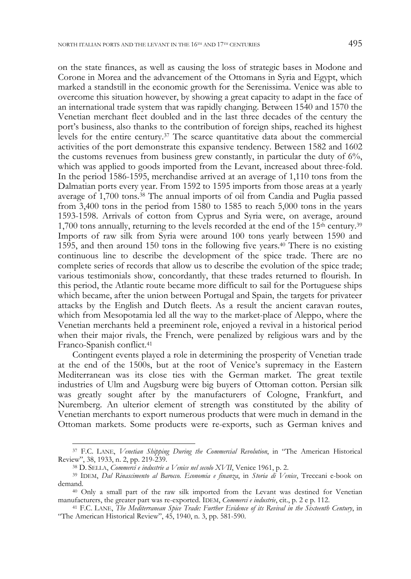on the state finances, as well as causing the loss of strategic bases in Modone and Corone in Morea and the advancement of the Ottomans in Syria and Egypt, which marked a standstill in the economic growth for the Serenissima. Venice was able to overcome this situation however, by showing a great capacity to adapt in the face of an international trade system that was rapidly changing. Between 1540 and 1570 the Venetian merchant fleet doubled and in the last three decades of the century the port's business, also thanks to the contribution of foreign ships, reached its highest levels for the entire century.37 The scarce quantitative data about the commercial activities of the port demonstrate this expansive tendency. Between 1582 and 1602 the customs revenues from business grew constantly, in particular the duty of  $6\%$ , which was applied to goods imported from the Levant, increased about three-fold. In the period 1586-1595, merchandise arrived at an average of 1,110 tons from the Dalmatian ports every year. From 1592 to 1595 imports from those areas at a yearly average of 1,700 tons.38 The annual imports of oil from Candia and Puglia passed from 3,400 tons in the period from 1580 to 1585 to reach 5,000 tons in the years 1593-1598. Arrivals of cotton from Cyprus and Syria were, on average, around 1,700 tons annually, returning to the levels recorded at the end of the  $15<sup>th</sup>$  century.<sup>39</sup> Imports of raw silk from Syria were around 100 tons yearly between 1590 and 1595, and then around 150 tons in the following five years.40 There is no existing continuous line to describe the development of the spice trade. There are no complete series of records that allow us to describe the evolution of the spice trade; various testimonials show, concordantly, that these trades returned to flourish. In this period, the Atlantic route became more difficult to sail for the Portuguese ships which became, after the union between Portugal and Spain, the targets for privateer attacks by the English and Dutch fleets. As a result the ancient caravan routes, which from Mesopotamia led all the way to the market-place of Aleppo, where the Venetian merchants held a preeminent role, enjoyed a revival in a historical period when their major rivals, the French, were penalized by religious wars and by the Franco-Spanish conflict.41

Contingent events played a role in determining the prosperity of Venetian trade at the end of the 1500s, but at the root of Venice's supremacy in the Eastern Mediterranean was its close ties with the German market. The great textile industries of Ulm and Augsburg were big buyers of Ottoman cotton. Persian silk was greatly sought after by the manufacturers of Cologne, Frankfurt, and Nuremberg. An ulterior element of strength was constituted by the ability of Venetian merchants to export numerous products that were much in demand in the Ottoman markets. Some products were re-exports, such as German knives and

<sup>&</sup>lt;sup>37</sup> F.C. LANE, *Venetian Shipping During the Commercial Revolution*, in "The American Historical Review", 38, 1933, n. 2, pp. 219-239.

<sup>&</sup>lt;sup>38</sup> D. SELLA, Commerci e industrie a Venice nel secolo XVII, Venice 1961, p. 2.<br><sup>39</sup> IDEM, *Dal Rinascimento al Barocco. Economia e finanza*, in *Storia di Venice*, Treccani e-book on

demand.  $40$  Only a small part of the raw silk imported from the Levant was destined for Venetian manufacturers, the greater part was re-exported. IDEM, *Commerci e industrie*, cit., p. 2 e p. 112.

<sup>&</sup>lt;sup>41</sup> F.C. LANE, *The Mediterranean Spice Trade: Further Evidence of its Revival in the Sixteenth Century*, in "The American Historical Review", 45, 1940, n. 3, pp. 581-590.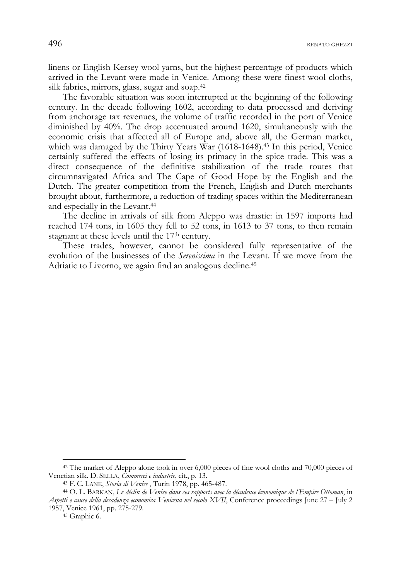$496$  renation of the  $\alpha$  renation  $\alpha$  renation  $\alpha$ 

linens or English Kersey wool yarns, but the highest percentage of products which arrived in the Levant were made in Venice. Among these were finest wool cloths, silk fabrics, mirrors, glass, sugar and soap.42

The favorable situation was soon interrupted at the beginning of the following century. In the decade following 1602, according to data processed and deriving from anchorage tax revenues, the volume of traffic recorded in the port of Venice diminished by 40%. The drop accentuated around 1620, simultaneously with the economic crisis that affected all of Europe and, above all, the German market, which was damaged by the Thirty Years War (1618-1648).<sup>43</sup> In this period, Venice certainly suffered the effects of losing its primacy in the spice trade. This was a direct consequence of the definitive stabilization of the trade routes that circumnavigated Africa and The Cape of Good Hope by the English and the Dutch. The greater competition from the French, English and Dutch merchants brought about, furthermore, a reduction of trading spaces within the Mediterranean and especially in the Levant.44

The decline in arrivals of silk from Aleppo was drastic: in 1597 imports had reached 174 tons, in 1605 they fell to 52 tons, in 1613 to 37 tons, to then remain stagnant at these levels until the 17<sup>th</sup> century.

These trades, however, cannot be considered fully representative of the evolution of the businesses of the *Serenissima* in the Levant. If we move from the Adriatic to Livorno, we again find an analogous decline.45

<sup>42</sup> The market of Aleppo alone took in over 6,000 pieces of fine wool cloths and 70,000 pieces of Venetian silk. D. SELLA, Commerci e industrie, cit., p. 13.<br><sup>43</sup> F. C. LANE, *Storia di Venice* , Turin 1978, pp. 465-487.<br><sup>44</sup> O. L. BARKAN, *Le déclin de Venise dans ses rapports avec la décadence économique de l'Empire* 

*Aspetti e cause della decadenza economica Venicena nel secolo XVII*, Conference proceedings June 27 – July 2 1957, Venice 1961, pp. 275-279. 45 Graphic 6.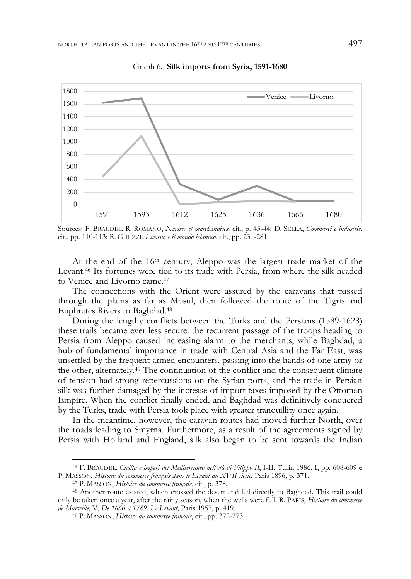

Graph 6. **Silk imports from Syria, 1591-1680** 

Sources: F. BRAUDEL, R. ROMANO, *Navires et marchandises,* cit., p. 43-44; D. SELLA, *Commerci e industrie*, cit., pp. 110-113; R. GHEZZI, *Livorno e il mondo islamico*, cit., pp. 231-281.

At the end of the 16<sup>th</sup> century, Aleppo was the largest trade market of the Levant.46 Its fortunes were tied to its trade with Persia, from where the silk headed to Venice and Livorno came.47

The connections with the Orient were assured by the caravans that passed through the plains as far as Mosul, then followed the route of the Tigris and Euphrates Rivers to Baghdad.48

During the lengthy conflicts between the Turks and the Persians (1589-1628) these trails became ever less secure: the recurrent passage of the troops heading to Persia from Aleppo caused increasing alarm to the merchants, while Baghdad, a hub of fundamental importance in trade with Central Asia and the Far East, was unsettled by the frequent armed encounters, passing into the hands of one army or the other, alternately.49 The continuation of the conflict and the consequent climate of tension had strong repercussions on the Syrian ports, and the trade in Persian silk was further damaged by the increase of import taxes imposed by the Ottoman Empire. When the conflict finally ended, and Baghdad was definitively conquered by the Turks, trade with Persia took place with greater tranquillity once again.

In the meantime, however, the caravan routes had moved further North, over the roads leading to Smyrna. Furthermore, as a result of the agreements signed by Persia with Holland and England, silk also began to be sent towards the Indian

<sup>46</sup> F. BRAUDEL, *Civiltà e imperi del Mediterraneo nell'età di Filippo II*, I-II, Turin 1986, I, pp. 608-609 e P. MASSON, Histoire du commerce français dans le Levant au XVII siecle, Paris 1896, p. 371.<br><sup>47</sup> P. MASSON, Histoire du commerce français, cit., p. 378.<br><sup>48</sup> Another route existed, which crossed the desert and led directly

only be taken once a year, after the rainy season, when the wells were full. R. PARIS, *Histoire du commerce* 

*de Marseille*, V, *De 1660 à 1789. Le Levant*, Paris 1957, p. 419. 49 P. MASSON, *Histoire du commerce français*, cit., pp. 372-273.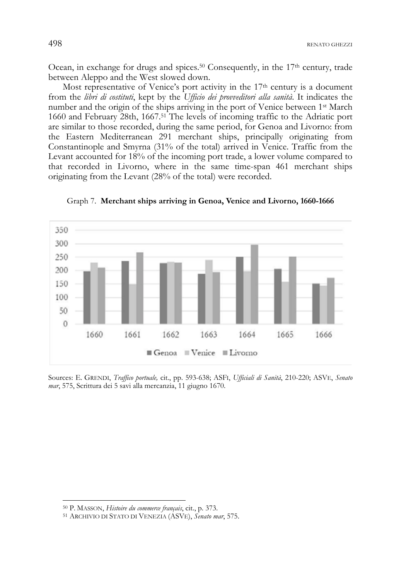Ocean, in exchange for drugs and spices.<sup>50</sup> Consequently, in the 17<sup>th</sup> century, trade between Aleppo and the West slowed down.

Most representative of Venice's port activity in the 17<sup>th</sup> century is a document from the *libri di costituti*, kept by the *Ufficio dei provveditori alla sanità*. It indicates the number and the origin of the ships arriving in the port of Venice between 1st March 1660 and February 28th, 1667.51 The levels of incoming traffic to the Adriatic port are similar to those recorded, during the same period, for Genoa and Livorno: from the Eastern Mediterranean 291 merchant ships, principally originating from Constantinople and Smyrna (31% of the total) arrived in Venice. Traffic from the Levant accounted for 18% of the incoming port trade, a lower volume compared to that recorded in Livorno, where in the same time-span 461 merchant ships originating from the Levant (28% of the total) were recorded.



Graph 7. **Merchant ships arriving in Genoa, Venice and Livorno, 1660-1666** 

Sources: E. GRENDI, *Traffico portuale,* cit., pp. 593-638; ASFI, *Ufficiali di Sanità*, 210-220; ASVE, *Senato mar*, 575, Scrittura dei 5 savi alla mercanzia, 11 giugno 1670.

<sup>50</sup> P. MASSON, *Histoire du commerce français*, cit., p. 373. 51 ARCHIVIO DI STATO DI VENEZIA (ASVE), *Senato mar*, 575.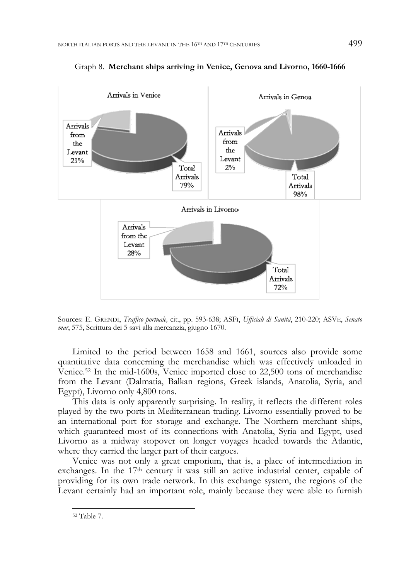

Graph 8. **Merchant ships arriving in Venice, Genova and Livorno, 1660-1666** 

Sources: E. GRENDI, *Traffico portuale,* cit., pp. 593-638; ASFI, *Ufficiali di Sanità*, 210-220; ASVE, *Senato mar*, 575, Scrittura dei 5 savi alla mercanzia, giugno 1670.

Limited to the period between 1658 and 1661, sources also provide some quantitative data concerning the merchandise which was effectively unloaded in Venice.52 In the mid-1600s, Venice imported close to 22,500 tons of merchandise from the Levant (Dalmatia, Balkan regions, Greek islands, Anatolia, Syria, and Egypt), Livorno only 4,800 tons.

This data is only apparently surprising. In reality, it reflects the different roles played by the two ports in Mediterranean trading. Livorno essentially proved to be an international port for storage and exchange. The Northern merchant ships, which guaranteed most of its connections with Anatolia, Syria and Egypt, used Livorno as a midway stopover on longer voyages headed towards the Atlantic, where they carried the larger part of their cargoes.

Venice was not only a great emporium, that is, a place of intermediation in exchanges. In the 17th century it was still an active industrial center, capable of providing for its own trade network. In this exchange system, the regions of the Levant certainly had an important role, mainly because they were able to furnish

<sup>52</sup> Table 7.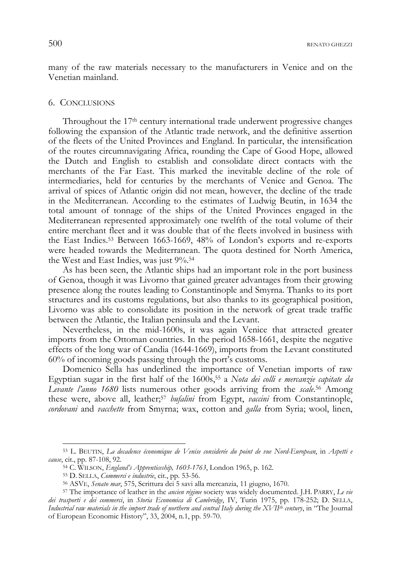many of the raw materials necessary to the manufacturers in Venice and on the Venetian mainland.

#### 6. CONCLUSIONS

Throughout the 17<sup>th</sup> century international trade underwent progressive changes following the expansion of the Atlantic trade network, and the definitive assertion of the fleets of the United Provinces and England. In particular, the intensification of the routes circumnavigating Africa, rounding the Cape of Good Hope, allowed the Dutch and English to establish and consolidate direct contacts with the merchants of the Far East. This marked the inevitable decline of the role of intermediaries, held for centuries by the merchants of Venice and Genoa. The arrival of spices of Atlantic origin did not mean, however, the decline of the trade in the Mediterranean. According to the estimates of Ludwig Beutin, in 1634 the total amount of tonnage of the ships of the United Provinces engaged in the Mediterranean represented approximately one twelfth of the total volume of their entire merchant fleet and it was double that of the fleets involved in business with the East Indies.53 Between 1663-1669, 48% of London's exports and re-exports were headed towards the Mediterranean. The quota destined for North America, the West and East Indies, was just 9%.54

As has been seen, the Atlantic ships had an important role in the port business of Genoa, though it was Livorno that gained greater advantages from their growing presence along the routes leading to Constantinople and Smyrna. Thanks to its port structures and its customs regulations, but also thanks to its geographical position, Livorno was able to consolidate its position in the network of great trade traffic between the Atlantic, the Italian peninsula and the Levant.

Nevertheless, in the mid-1600s, it was again Venice that attracted greater imports from the Ottoman countries. In the period 1658-1661, despite the negative effects of the long war of Candia (1644-1669), imports from the Levant constituted 60% of incoming goods passing through the port's customs.

Domenico Sella has underlined the importance of Venetian imports of raw Egyptian sugar in the first half of the 1600s,55 a *Nota dei colli e mercanzie capitate da Levante l'anno 1680* lists numerous other goods arriving from the *scale*. 56 Among these were, above all, leather;57 *bufalini* from Egypt, *vaccini* from Constantinople, *cordovani* and *vacchette* from Smyrna; wax, cotton and *galla* from Syria; wool, linen,

<sup>53</sup> L. BEUTIN, *La decadence économique de Venise considerée du point de vue Nord-European*, in *Aspetti e cause*, cit., pp. 87-108, 92.

<sup>&</sup>lt;sup>55</sup> D. SELLA, *Commerci e industrie*, cit., pp. 53-56.<br><sup>56</sup> ASVE, *Senato mar*, 575, Scrittura dei 5 savi alla mercanzia, 11 giugno, 1670.<br><sup>57</sup> The importance of leather in the *ancien régime* society was widely documente *dei trasporti e dei commerci*, in *Storia Economica di Cambridge*, IV, Turin 1975, pp. 178-252; D. SELLA, *Industrial raw materials in the import trade of northern and central Italy during the XVII<sup>th</sup> century*, in "The Journal of European Economic History", 33, 2004, n.1, pp. 59-70.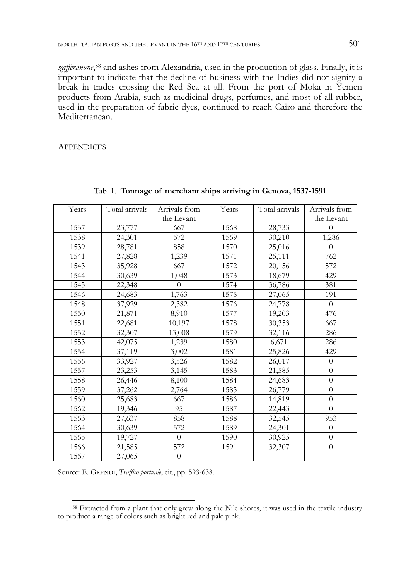zafferanone,<sup>58</sup> and ashes from Alexandria, used in the production of glass. Finally, it is important to indicate that the decline of business with the Indies did not signify a break in trades crossing the Red Sea at all. From the port of Moka in Yemen products from Arabia, such as medicinal drugs, perfumes, and most of all rubber, used in the preparation of fabric dyes, continued to reach Cairo and therefore the Mediterranean.

**APPENDICES** 

| Years | Total arrivals | Arrivals from | Years | Total arrivals | Arrivals from  |
|-------|----------------|---------------|-------|----------------|----------------|
|       |                | the Levant    |       |                | the Levant     |
| 1537  | 23,777         | 667           | 1568  | 28,733         | $\theta$       |
| 1538  | 24,301         | 572           | 1569  | 30,210         | 1,286          |
| 1539  | 28,781         | 858           | 1570  | 25,016         | $\theta$       |
| 1541  | 27,828         | 1,239         | 1571  | 25,111         | 762            |
| 1543  | 35,928         | 667           | 1572  | 20,156         | 572            |
| 1544  | 30,639         | 1,048         | 1573  | 18,679         | 429            |
| 1545  | 22,348         | $\Omega$      | 1574  | 36,786         | 381            |
| 1546  | 24,683         | 1,763         | 1575  | 27,065         | 191            |
| 1548  | 37,929         | 2,382         | 1576  | 24,778         | $\Omega$       |
| 1550  | 21,871         | 8,910         | 1577  | 19,203         | 476            |
| 1551  | 22,681         | 10,197        | 1578  | 30,353         | 667            |
| 1552  | 32,307         | 13,008        | 1579  | 32,116         | 286            |
| 1553  | 42,075         | 1,239         | 1580  | 6,671          | 286            |
| 1554  | 37,119         | 3,002         | 1581  | 25,826         | 429            |
| 1556  | 33,927         | 3,526         | 1582  | 26,017         | $\theta$       |
| 1557  | 23,253         | 3,145         | 1583  | 21,585         | $\overline{0}$ |
| 1558  | 26,446         | 8,100         | 1584  | 24,683         | $\overline{0}$ |
| 1559  | 37,262         | 2,764         | 1585  | 26,779         | $\overline{0}$ |
| 1560  | 25,683         | 667           | 1586  | 14,819         | $\overline{0}$ |
| 1562  | 19,346         | 95            | 1587  | 22,443         | $\overline{0}$ |
| 1563  | 27,637         | 858           | 1588  | 32,545         | 953            |
| 1564  | 30,639         | 572           | 1589  | 24,301         | $\theta$       |
| 1565  | 19,727         | $\Omega$      | 1590  | 30,925         | $\overline{0}$ |
| 1566  | 21,585         | 572           | 1591  | 32,307         | $\overline{0}$ |
| 1567  | 27,065         | $\theta$      |       |                |                |

Tab. 1. **Tonnage of merchant ships arriving in Genova, 1537-1591** 

Source: E. GRENDI, *Traffico portuale*, cit., pp. 593-638.

<sup>&</sup>lt;sup>58</sup> Extracted from a plant that only grew along the Nile shores, it was used in the textile industry to produce a range of colors such as bright red and pale pink.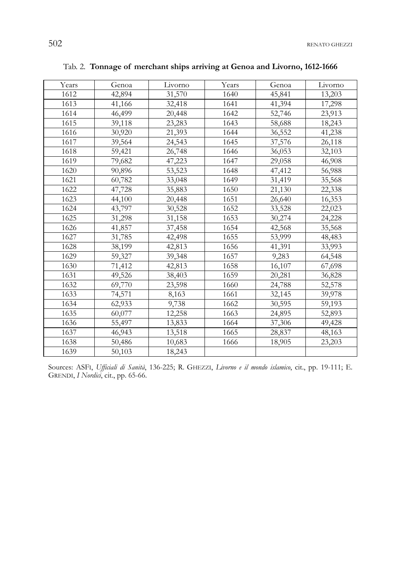502 RENATO GHEZZI

| Years | Genoa  | Livorno | Years | Genoa  | Livorno |
|-------|--------|---------|-------|--------|---------|
| 1612  | 42,894 | 31,570  | 1640  | 45,841 | 13,203  |
| 1613  | 41,166 | 32,418  | 1641  | 41,394 | 17,298  |
| 1614  | 46,499 | 20,448  | 1642  | 52,746 | 23,913  |
| 1615  | 39,118 | 23,283  | 1643  | 58,688 | 18,243  |
| 1616  | 30,920 | 21,393  | 1644  | 36,552 | 41,238  |
| 1617  | 39,564 | 24,543  | 1645  | 37,576 | 26,118  |
| 1618  | 59,421 | 26,748  | 1646  | 36,053 | 32,103  |
| 1619  | 79,682 | 47,223  | 1647  | 29,058 | 46,908  |
| 1620  | 90,896 | 53,523  | 1648  | 47,412 | 56,988  |
| 1621  | 60,782 | 33,048  | 1649  | 31,419 | 35,568  |
| 1622  | 47,728 | 35,883  | 1650  | 21,130 | 22,338  |
| 1623  | 44,100 | 20,448  | 1651  | 26,640 | 16,353  |
| 1624  | 43,797 | 30,528  | 1652  | 33,528 | 22,023  |
| 1625  | 31,298 | 31,158  | 1653  | 30,274 | 24,228  |
| 1626  | 41,857 | 37,458  | 1654  | 42,568 | 35,568  |
| 1627  | 31,785 | 42,498  | 1655  | 53,999 | 48,483  |
| 1628  | 38,199 | 42,813  | 1656  | 41,391 | 33,993  |
| 1629  | 59,327 | 39,348  | 1657  | 9,283  | 64,548  |
| 1630  | 71,412 | 42,813  | 1658  | 16,107 | 67,698  |
| 1631  | 49,526 | 38,403  | 1659  | 20,281 | 36,828  |
| 1632  | 69,770 | 23,598  | 1660  | 24,788 | 52,578  |
| 1633  | 74,571 | 8,163   | 1661  | 32,145 | 39,978  |
| 1634  | 62,933 | 9,738   | 1662  | 30,595 | 59,193  |
| 1635  | 60,077 | 12,258  | 1663  | 24,895 | 52,893  |
| 1636  | 55,497 | 13,833  | 1664  | 37,306 | 49,428  |
| 1637  | 46,943 | 13,518  | 1665  | 28,837 | 48,163  |
| 1638  | 50,486 | 10,683  | 1666  | 18,905 | 23,203  |
| 1639  | 50,103 | 18,243  |       |        |         |

Tab. 2. **Tonnage of merchant ships arriving at Genoa and Livorno, 1612-1666** 

Sources: ASFI, *Ufficiali di Sanità*, 136-225; R. GHEZZI, *Livorno e il mondo islamico*, cit., pp. 19-111; E. GRENDI, *I Nordici*, cit., pp. 65-66.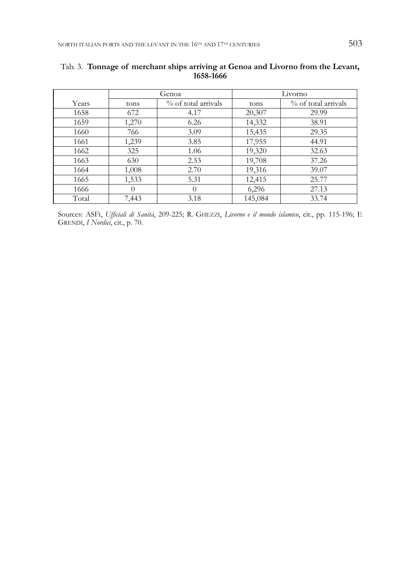|       | Genoa    |                     |         | Livorno             |
|-------|----------|---------------------|---------|---------------------|
| Years | tons     | % of total arrivals | tons    | % of total arrivals |
| 1658  | 672      | 4.17                | 20,307  | 29.99               |
| 1659  | 1,270    | 6.26                | 14,332  | 38.91               |
| 1660  | 766      | 3.09                | 15,435  | 29.35               |
| 1661  | 1,239    | 3.85                | 17,955  | 44.91               |
| 1662  | 325      | 1.06                | 19,320  | 32.63               |
| 1663  | 630      | 2.53                | 19,708  | 37.26               |
| 1664  | 1,008    | 2.70                | 19,316  | 39.07               |
| 1665  | 1,533    | 5.31                | 12,415  | 25.77               |
| 1666  | $\theta$ | $\Omega$            | 6,296   | 27.13               |
| Total | 7,443    | 3.18                | 145,084 | 33.74               |

# Tab. 3. **Tonnage of merchant ships arriving at Genoa and Livorno from the Levant, 1658-1666**

Sources: ASFI, *Ufficiali di Sanità*, 209-225; R. GHEZZI, *Livorno e il mondo islamico*, cit., pp. 115-196; E GRENDI, *I Nordici*, cit., p. 70.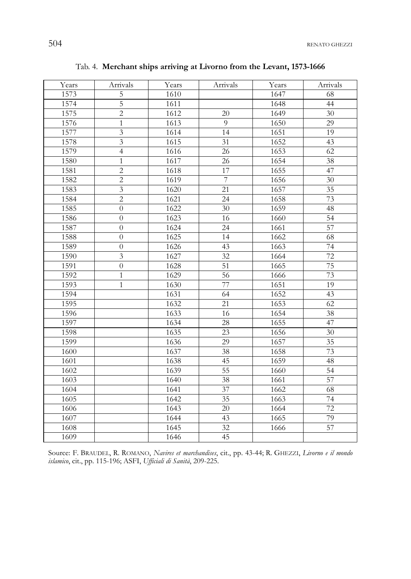504 RENATO GHEZZI

| Years | Arrivals                | Years | Arrivals        | Years | Arrivals        |
|-------|-------------------------|-------|-----------------|-------|-----------------|
| 1573  | $\mathbf 5$             | 1610  |                 | 1647  | 68              |
| 1574  | $\overline{5}$          | 1611  |                 | 1648  | 44              |
| 1575  | $\overline{2}$          | 1612  | 20              | 1649  | 30              |
| 1576  | $\mathbf{1}$            | 1613  | 9               | 1650  | 29              |
| 1577  | $\overline{\mathbf{3}}$ | 1614  | 14              | 1651  | 19              |
| 1578  | $\mathfrak{Z}$          | 1615  | 31              | 1652  | 43              |
| 1579  | $\overline{4}$          | 1616  | 26              | 1653  | 62              |
| 1580  | $\mathbf{1}$            | 1617  | 26              | 1654  | 38              |
| 1581  | $\overline{2}$          | 1618  | 17              | 1655  | 47              |
| 1582  | $\overline{2}$          | 1619  | $\overline{7}$  | 1656  | 30              |
| 1583  | $\overline{3}$          | 1620  | 21              | 1657  | $\overline{35}$ |
| 1584  | $\overline{c}$          | 1621  | $\overline{24}$ | 1658  | 73              |
| 1585  | $\overline{0}$          | 1622  | 30              | 1659  | 48              |
| 1586  | $\overline{0}$          | 1623  | 16              | 1660  | 54              |
| 1587  | $\overline{0}$          | 1624  | 24              | 1661  | 57              |
| 1588  | $\theta$                | 1625  | 14              | 1662  | 68              |
| 1589  | $\overline{0}$          | 1626  | 43              | 1663  | 74              |
| 1590  | $\overline{\mathbf{3}}$ | 1627  | $\overline{32}$ | 1664  | 72              |
| 1591  | $\overline{0}$          | 1628  | $\overline{51}$ | 1665  | 75              |
| 1592  | $\mathbf{1}$            | 1629  | 56              | 1666  | 73              |
| 1593  | $\mathbf{1}$            | 1630  | 77              | 1651  | 19              |
| 1594  |                         | 1631  | 64              | 1652  | 43              |
| 1595  |                         | 1632  | $\overline{21}$ | 1653  | 62              |
| 1596  |                         | 1633  | 16              | 1654  | 38              |
| 1597  |                         | 1634  | 28              | 1655  | 47              |
| 1598  |                         | 1635  | 23              | 1656  | 30              |
| 1599  |                         | 1636  | 29              | 1657  | 35              |
| 1600  |                         | 1637  | 38              | 1658  | 73              |
| 1601  |                         | 1638  | 45              | 1659  | 48              |
| 1602  |                         | 1639  | 55              | 1660  | 54              |
| 1603  |                         | 1640  | $\overline{38}$ | 1661  | 57              |
| 1604  |                         | 1641  | 37              | 1662  | 68              |
| 1605  |                         | 1642  | 35              | 1663  | 74              |
| 1606  |                         | 1643  | 20              | 1664  | 72              |
| 1607  |                         | 1644  | 43              | 1665  | 79              |
| 1608  |                         | 1645  | $\overline{32}$ | 1666  | 57              |
| 1609  |                         | 1646  | 45              |       |                 |

Tab. 4. **Merchant ships arriving at Livorno from the Levant, 1573-1666** 

Source: F. BRAUDEL, R. ROMANO, *Navires et marchandises*, cit., pp. 43-44; R. GHEZZI, *Livorno e il mondo islamico*, cit., pp. 115-196; ASFI, *Ufficiali di Sanità*, 209-225.